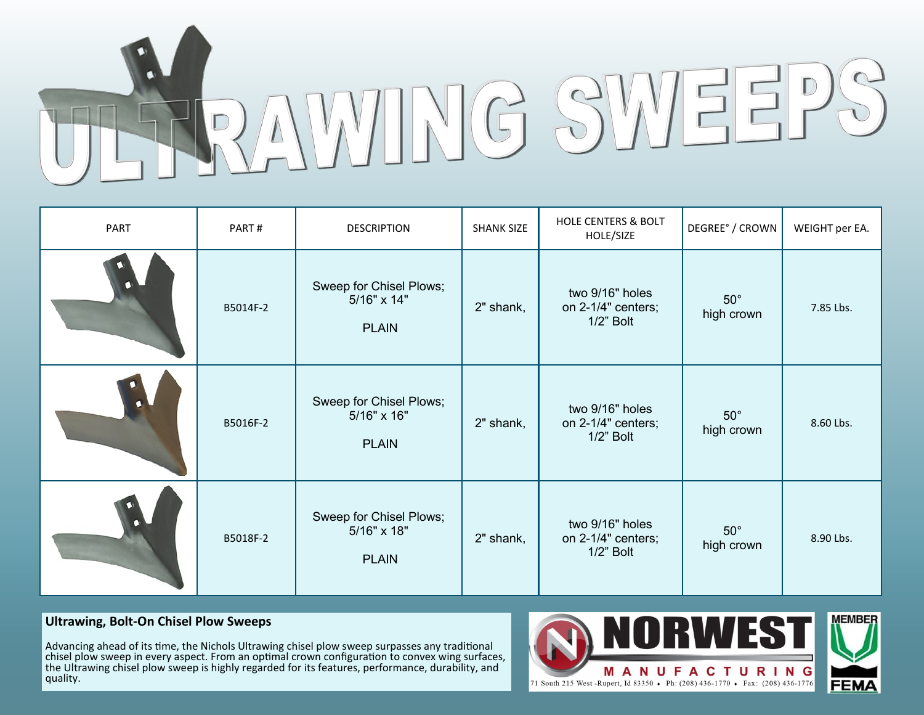

| PART | PART#    | <b>DESCRIPTION</b>                                     | <b>SHANK SIZE</b> | <b>HOLE CENTERS &amp; BOLT</b><br>HOLE/SIZE        | DEGREE° / CROWN          | WEIGHT per EA. |
|------|----------|--------------------------------------------------------|-------------------|----------------------------------------------------|--------------------------|----------------|
|      | B5014F-2 | Sweep for Chisel Plows;<br>5/16" x 14"<br><b>PLAIN</b> | 2" shank,         | two 9/16" holes<br>on 2-1/4" centers;<br>1/2" Bolt | $50^\circ$<br>high crown | 7.85 Lbs.      |
|      | B5016F-2 | Sweep for Chisel Plows;<br>5/16" x 16"<br><b>PLAIN</b> | 2" shank,         | two 9/16" holes<br>on 2-1/4" centers;<br>1/2" Bolt | $50^\circ$<br>high crown | 8.60 Lbs.      |
|      | B5018F-2 | Sweep for Chisel Plows;<br>5/16" x 18"<br><b>PLAIN</b> | 2" shank,         | two 9/16" holes<br>on 2-1/4" centers;<br>1/2" Bolt | $50^\circ$<br>high crown | 8.90 Lbs.      |

# **Ultrawing, Bolt-On Chisel Plow Sweeps**

Advancing ahead of its time, the Nichols Ultrawing chisel plow sweep surpasses any traditional chisel plow sweep in every aspect. From an optimal crown configuration to convex wing surfaces, the Ultrawing chisel plow sweep is highly regarded for its features, performance, durability, and quality.